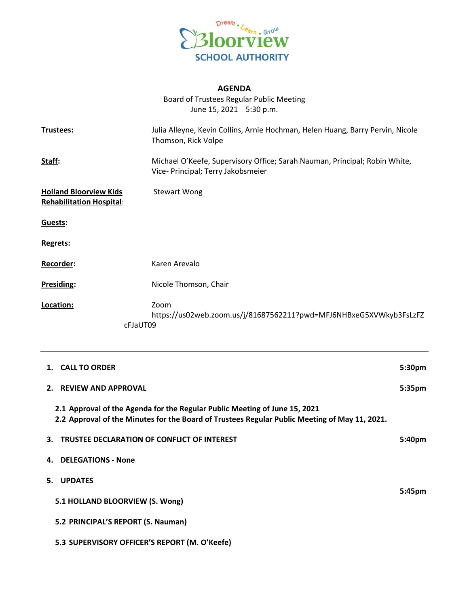

## **AGENDA**

Board of Trustees Regular Public Meeting June 15, 2021 5:30 p.m.

| Trustees:                                                        | Julia Alleyne, Kevin Collins, Arnie Hochman, Helen Huang, Barry Pervin, Nicole<br>Thomson, Rick Volpe            |
|------------------------------------------------------------------|------------------------------------------------------------------------------------------------------------------|
| Staff:                                                           | Michael O'Keefe, Supervisory Office; Sarah Nauman, Principal; Robin White,<br>Vice- Principal; Terry Jakobsmeier |
| <b>Holland Bloorview Kids</b><br><b>Rehabilitation Hospital:</b> | <b>Stewart Wong</b>                                                                                              |
| Guests:                                                          |                                                                                                                  |
| <b>Regrets:</b>                                                  |                                                                                                                  |
| <b>Recorder:</b>                                                 | Karen Arevalo                                                                                                    |
| Presiding:                                                       | Nicole Thomson, Chair                                                                                            |
| Location:                                                        | Zoom<br>https://us02web.zoom.us/j/81687562211?pwd=MFJ6NHBxeG5XVWkyb3FsLzFZ<br>cFJaUT09                           |

| 1. CALL TO ORDER                                                                                                                                                            | 5:30 <sub>pm</sub> |
|-----------------------------------------------------------------------------------------------------------------------------------------------------------------------------|--------------------|
| <b>REVIEW AND APPROVAL</b><br>2 <sup>1</sup>                                                                                                                                | 5:35 <sub>pm</sub> |
| 2.1 Approval of the Agenda for the Regular Public Meeting of June 15, 2021<br>2.2 Approval of the Minutes for the Board of Trustees Regular Public Meeting of May 11, 2021. |                    |
| <b>TRUSTEE DECLARATION OF CONFLICT OF INTEREST</b><br>3.                                                                                                                    | 5:40pm             |
| <b>DELEGATIONS - None</b><br>4.                                                                                                                                             |                    |
| <b>UPDATES</b><br>5.                                                                                                                                                        |                    |
| 5.1 HOLLAND BLOORVIEW (S. Wong)                                                                                                                                             | 5:45pm             |
| 5.2 PRINCIPAL'S REPORT (S. Nauman)                                                                                                                                          |                    |
| 5.3 SUPERVISORY OFFICER'S REPORT (M. O'Keefe)                                                                                                                               |                    |